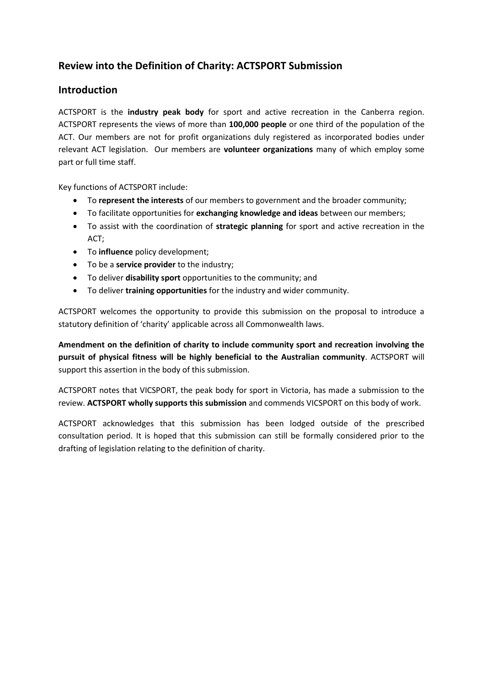# **Review into the Definition of Charity: ACTSPORT Submission**

## **Introduction**

ACTSPORT is the **industry peak body** for sport and active recreation in the Canberra region. ACTSPORT represents the views of more than **100,000 people** or one third of the population of the ACT. Our members are not for profit organizations duly registered as incorporated bodies under relevant ACT legislation. Our members are **volunteer organizations** many of which employ some part or full time staff.

Key functions of ACTSPORT include:

- To **represent the interests** of our members to government and the broader community;
- To facilitate opportunities for **exchanging knowledge and ideas** between our members;
- To assist with the coordination of **strategic planning** for sport and active recreation in the ACT;
- To **influence** policy development;
- To be a **service provider** to the industry;
- To deliver **disability sport** opportunities to the community; and
- To deliver **training opportunities** for the industry and wider community.

ACTSPORT welcomes the opportunity to provide this submission on the proposal to introduce a statutory definition of 'charity' applicable across all Commonwealth laws.

**Amendment on the definition of charity to include community sport and recreation involving the pursuit of physical fitness will be highly beneficial to the Australian community**. ACTSPORT will support this assertion in the body of this submission.

ACTSPORT notes that VICSPORT, the peak body for sport in Victoria, has made a submission to the review. **ACTSPORT wholly supports this submission** and commends VICSPORT on this body of work.

ACTSPORT acknowledges that this submission has been lodged outside of the prescribed consultation period. It is hoped that this submission can still be formally considered prior to the drafting of legislation relating to the definition of charity.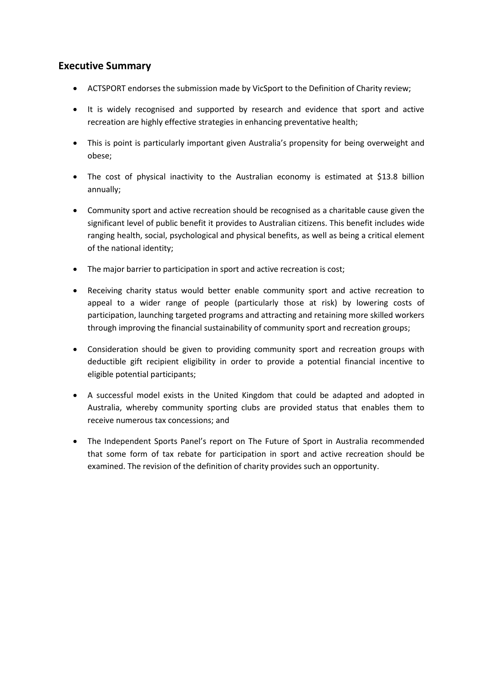## **Executive Summary**

- ACTSPORT endorses the submission made by VicSport to the Definition of Charity review;
- It is widely recognised and supported by research and evidence that sport and active recreation are highly effective strategies in enhancing preventative health;
- This is point is particularly important given Australia's propensity for being overweight and obese;
- The cost of physical inactivity to the Australian economy is estimated at \$13.8 billion annually;
- Community sport and active recreation should be recognised as a charitable cause given the significant level of public benefit it provides to Australian citizens. This benefit includes wide ranging health, social, psychological and physical benefits, as well as being a critical element of the national identity;
- The major barrier to participation in sport and active recreation is cost;
- Receiving charity status would better enable community sport and active recreation to appeal to a wider range of people (particularly those at risk) by lowering costs of participation, launching targeted programs and attracting and retaining more skilled workers through improving the financial sustainability of community sport and recreation groups;
- Consideration should be given to providing community sport and recreation groups with deductible gift recipient eligibility in order to provide a potential financial incentive to eligible potential participants;
- A successful model exists in the United Kingdom that could be adapted and adopted in Australia, whereby community sporting clubs are provided status that enables them to receive numerous tax concessions; and
- The Independent Sports Panel's report on The Future of Sport in Australia recommended that some form of tax rebate for participation in sport and active recreation should be examined. The revision of the definition of charity provides such an opportunity.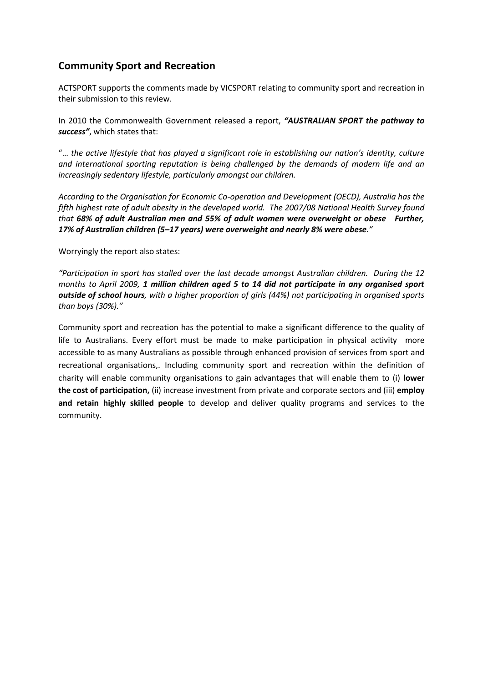## **Community Sport and Recreation**

ACTSPORT supports the comments made by VICSPORT relating to community sport and recreation in their submission to this review.

In 2010 the Commonwealth Government released a report, *"AUSTRALIAN SPORT the pathway to success"*, which states that:

"… *the active lifestyle that has played a significant role in establishing our nation's identity, culture and international sporting reputation is being challenged by the demands of modern life and an increasingly sedentary lifestyle, particularly amongst our children.*

*According to the Organisation for Economic Co-operation and Development (OECD), Australia has the fifth highest rate of adult obesity in the developed world. The 2007/08 National Health Survey found that 68% of adult Australian men and 55% of adult women were overweight or obese Further, 17% of Australian children (5–17 years) were overweight and nearly 8% were obese."*

Worryingly the report also states:

*"Participation in sport has stalled over the last decade amongst Australian children. During the 12 months to April 2009, 1 million children aged 5 to 14 did not participate in any organised sport outside of school hours, with a higher proportion of girls (44%) not participating in organised sports than boys (30%)."*

Community sport and recreation has the potential to make a significant difference to the quality of life to Australians. Every effort must be made to make participation in physical activity more accessible to as many Australians as possible through enhanced provision of services from sport and recreational organisations,. Including community sport and recreation within the definition of charity will enable community organisations to gain advantages that will enable them to (i) **lower the cost of participation,** (ii) increase investment from private and corporate sectors and (iii) **employ and retain highly skilled people** to develop and deliver quality programs and services to the community.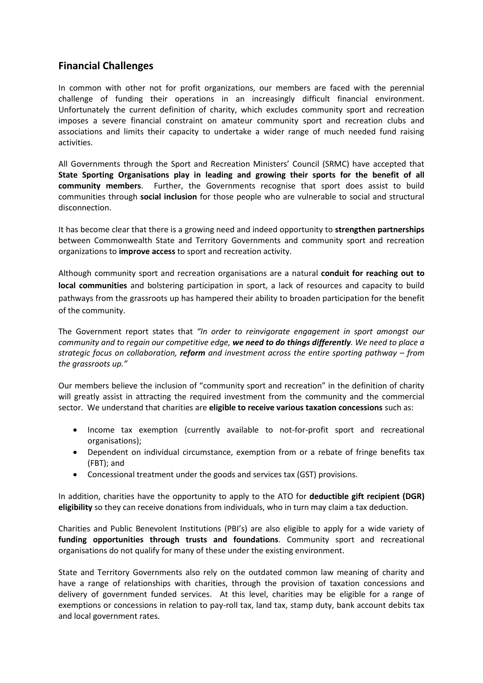## **Financial Challenges**

In common with other not for profit organizations, our members are faced with the perennial challenge of funding their operations in an increasingly difficult financial environment. Unfortunately the current definition of charity, which excludes community sport and recreation imposes a severe financial constraint on amateur community sport and recreation clubs and associations and limits their capacity to undertake a wider range of much needed fund raising activities.

All Governments through the Sport and Recreation Ministers' Council (SRMC) have accepted that **State Sporting Organisations play in leading and growing their sports for the benefit of all community members**. Further, the Governments recognise that sport does assist to build communities through **social inclusion** for those people who are vulnerable to social and structural disconnection.

It has become clear that there is a growing need and indeed opportunity to **strengthen partnerships** between Commonwealth State and Territory Governments and community sport and recreation organizations to **improve access** to sport and recreation activity.

Although community sport and recreation organisations are a natural **conduit for reaching out to local communities** and bolstering participation in sport, a lack of resources and capacity to build pathways from the grassroots up has hampered their ability to broaden participation for the benefit of the community.

The Government report states that *"In order to reinvigorate engagement in sport amongst our community and to regain our competitive edge, we need to do things differently. We need to place a strategic focus on collaboration, reform and investment across the entire sporting pathway – from the grassroots up."*

Our members believe the inclusion of "community sport and recreation" in the definition of charity will greatly assist in attracting the required investment from the community and the commercial sector. We understand that charities are **eligible to receive various taxation concessions** such as:

- Income tax exemption (currently available to not-for-profit sport and recreational organisations);
- Dependent on individual circumstance, exemption from or a rebate of fringe benefits tax (FBT); and
- Concessional treatment under the goods and services tax (GST) provisions.

In addition, charities have the opportunity to apply to the ATO for **deductible gift recipient (DGR) eligibility** so they can receive donations from individuals, who in turn may claim a tax deduction.

Charities and Public Benevolent Institutions (PBI's) are also eligible to apply for a wide variety of **funding opportunities through trusts and foundations**. Community sport and recreational organisations do not qualify for many of these under the existing environment.

State and Territory Governments also rely on the outdated common law meaning of charity and have a range of relationships with charities, through the provision of taxation concessions and delivery of government funded services. At this level, charities may be eligible for a range of exemptions or concessions in relation to pay-roll tax, land tax, stamp duty, bank account debits tax and local government rates.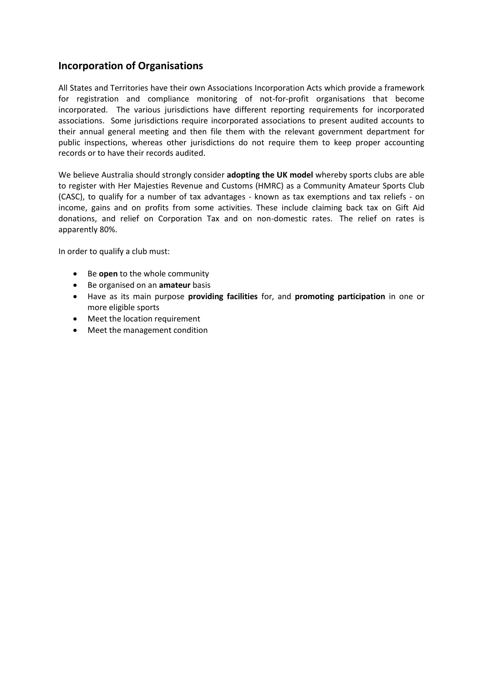## **Incorporation of Organisations**

All States and Territories have their own Associations Incorporation Acts which provide a framework for registration and compliance monitoring of not-for-profit organisations that become incorporated. The various jurisdictions have different reporting requirements for incorporated associations. Some jurisdictions require incorporated associations to present audited accounts to their annual general meeting and then file them with the relevant government department for public inspections, whereas other jurisdictions do not require them to keep proper accounting records or to have their records audited.

We believe Australia should strongly consider **adopting the UK model** whereby sports clubs are able to register with Her Majesties Revenue and Customs (HMRC) as a Community Amateur Sports Club (CASC), to qualify for a number of tax advantages - known as tax exemptions and tax reliefs - on income, gains and on profits from some activities. These include claiming back tax on Gift Aid donations, and relief on Corporation Tax and on non-domestic rates. The relief on rates is apparently 80%.

In order to qualify a club must:

- Be **open** to the whole community
- Be organised on an **amateur** basis
- Have as its main purpose **providing facilities** for, and **promoting participation** in one or more eligible sports
- Meet the location requirement
- Meet the management condition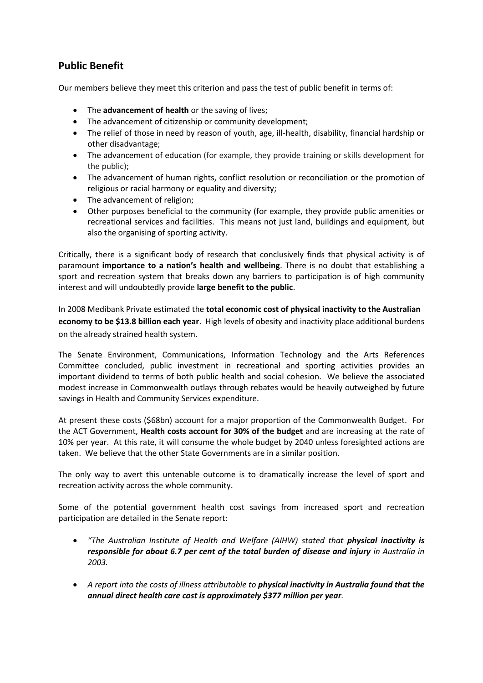## **Public Benefit**

Our members believe they meet this criterion and pass the test of public benefit in terms of:

- The **advancement of health** or the saving of lives;
- The advancement of citizenship or community development;
- The relief of those in need by reason of youth, age, ill-health, disability, financial hardship or other disadvantage;
- The advancement of education (for example, they provide training or skills development for the public);
- The advancement of human rights, conflict resolution or reconciliation or the promotion of religious or racial harmony or equality and diversity;
- The advancement of religion;
- Other purposes beneficial to the community (for example, they provide public amenities or recreational services and facilities. This means not just land, buildings and equipment, but also the organising of sporting activity.

Critically, there is a significant body of research that conclusively finds that physical activity is of paramount **importance to a nation's health and wellbeing**. There is no doubt that establishing a sport and recreation system that breaks down any barriers to participation is of high community interest and will undoubtedly provide **large benefit to the public**.

In 2008 Medibank Private estimated the **total economic cost of physical inactivity to the Australian economy to be \$13.8 billion each year**. High levels of obesity and inactivity place additional burdens on the already strained health system.

The Senate Environment, Communications, Information Technology and the Arts References Committee concluded, public investment in recreational and sporting activities provides an important dividend to terms of both public health and social cohesion. We believe the associated modest increase in Commonwealth outlays through rebates would be heavily outweighed by future savings in Health and Community Services expenditure.

At present these costs (\$68bn) account for a major proportion of the Commonwealth Budget. For the ACT Government, **Health costs account for 30% of the budget** and are increasing at the rate of 10% per year. At this rate, it will consume the whole budget by 2040 unless foresighted actions are taken. We believe that the other State Governments are in a similar position.

The only way to avert this untenable outcome is to dramatically increase the level of sport and recreation activity across the whole community.

Some of the potential government health cost savings from increased sport and recreation participation are detailed in the Senate report:

- *"The Australian Institute of Health and Welfare (AIHW) stated that physical inactivity is responsible for about 6.7 per cent of the total burden of disease and injury in Australia in 2003.*
- *A report into the costs of illness attributable to physical inactivity in Australia found that the annual direct health care cost is approximately \$377 million per year.*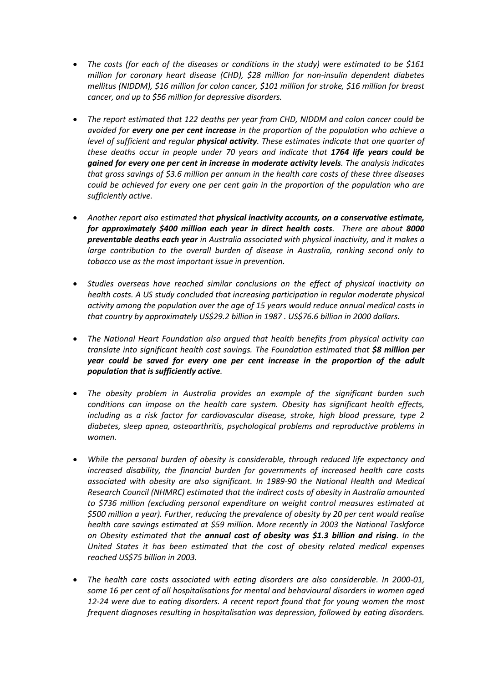- *The costs (for each of the diseases or conditions in the study) were estimated to be \$161 million for coronary heart disease (CHD), \$28 million for non-insulin dependent diabetes mellitus (NIDDM), \$16 million for colon cancer, \$101 million for stroke, \$16 million for breast cancer, and up to \$56 million for depressive disorders.*
- *The report estimated that 122 deaths per year from CHD, NIDDM and colon cancer could be avoided for every one per cent increase in the proportion of the population who achieve a level of sufficient and regular physical activity. These estimates indicate that one quarter of these deaths occur in people under 70 years and indicate that 1764 life years could be gained for every one per cent in increase in moderate activity levels. The analysis indicates that gross savings of \$3.6 million per annum in the health care costs of these three diseases could be achieved for every one per cent gain in the proportion of the population who are sufficiently active.*
- *Another report also estimated that physical inactivity accounts, on a conservative estimate, for approximately \$400 million each year in direct health costs. There are about 8000 preventable deaths each year in Australia associated with physical inactivity, and it makes a large contribution to the overall burden of disease in Australia, ranking second only to tobacco use as the most important issue in prevention.*
- *Studies overseas have reached similar conclusions on the effect of physical inactivity on health costs. A US study concluded that increasing participation in regular moderate physical activity among the population over the age of 15 years would reduce annual medical costs in that country by approximately US\$29.2 billion in 1987 . US\$76.6 billion in 2000 dollars.*
- *The National Heart Foundation also argued that health benefits from physical activity can translate into significant health cost savings. The Foundation estimated that \$8 million per year could be saved for every one per cent increase in the proportion of the adult population that is sufficiently active.*
- *The obesity problem in Australia provides an example of the significant burden such conditions can impose on the health care system. Obesity has significant health effects, including as a risk factor for cardiovascular disease, stroke, high blood pressure, type 2 diabetes, sleep apnea, osteoarthritis, psychological problems and reproductive problems in women.*
- *While the personal burden of obesity is considerable, through reduced life expectancy and increased disability, the financial burden for governments of increased health care costs associated with obesity are also significant. In 1989-90 the National Health and Medical Research Council (NHMRC) estimated that the indirect costs of obesity in Australia amounted to \$736 million (excluding personal expenditure on weight control measures estimated at \$500 million a year). Further, reducing the prevalence of obesity by 20 per cent would realise health care savings estimated at \$59 million. More recently in 2003 the National Taskforce on Obesity estimated that the annual cost of obesity was \$1.3 billion and rising. In the United States it has been estimated that the cost of obesity related medical expenses reached US\$75 billion in 2003.*
- *The health care costs associated with eating disorders are also considerable. In 2000-01, some 16 per cent of all hospitalisations for mental and behavioural disorders in women aged 12-24 were due to eating disorders. A recent report found that for young women the most frequent diagnoses resulting in hospitalisation was depression, followed by eating disorders.*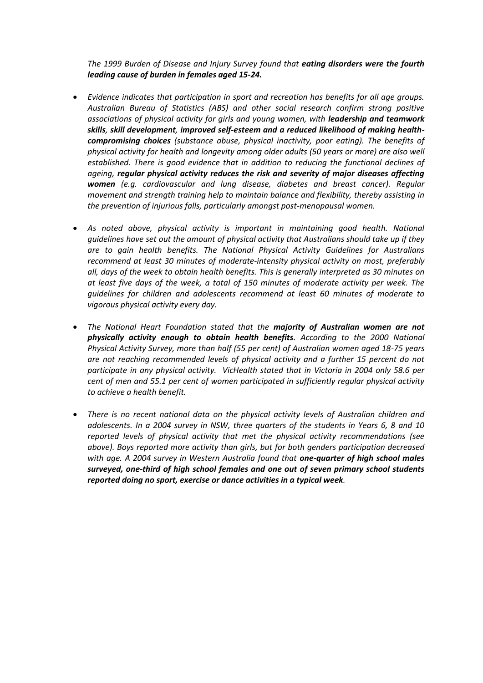*The 1999 Burden of Disease and Injury Survey found that eating disorders were the fourth leading cause of burden in females aged 15-24.*

- *Evidence indicates that participation in sport and recreation has benefits for all age groups. Australian Bureau of Statistics (ABS) and other social research confirm strong positive associations of physical activity for girls and young women, with leadership and teamwork skills, skill development, improved self-esteem and a reduced likelihood of making healthcompromising choices (substance abuse, physical inactivity, poor eating). The benefits of physical activity for health and longevity among older adults (50 years or more) are also well established. There is good evidence that in addition to reducing the functional declines of ageing, regular physical activity reduces the risk and severity of major diseases affecting women (e.g. cardiovascular and lung disease, diabetes and breast cancer). Regular movement and strength training help to maintain balance and flexibility, thereby assisting in the prevention of injurious falls, particularly amongst post-menopausal women.*
- As noted above, physical activity is important in maintaining good health. National *guidelines have set out the amount of physical activity that Australians should take up if they are to gain health benefits. The National Physical Activity Guidelines for Australians recommend at least 30 minutes of moderate-intensity physical activity on most, preferably all, days of the week to obtain health benefits. This is generally interpreted as 30 minutes on at least five days of the week, a total of 150 minutes of moderate activity per week. The guidelines for children and adolescents recommend at least 60 minutes of moderate to vigorous physical activity every day.*
- *The National Heart Foundation stated that the majority of Australian women are not physically activity enough to obtain health benefits. According to the 2000 National Physical Activity Survey, more than half (55 per cent) of Australian women aged 18-75 years are not reaching recommended levels of physical activity and a further 15 percent do not participate in any physical activity. VicHealth stated that in Victoria in 2004 only 58.6 per cent of men and 55.1 per cent of women participated in sufficiently regular physical activity to achieve a health benefit.*
- *There is no recent national data on the physical activity levels of Australian children and adolescents. In a 2004 survey in NSW, three quarters of the students in Years 6, 8 and 10 reported levels of physical activity that met the physical activity recommendations (see above). Boys reported more activity than girls, but for both genders participation decreased with age. A 2004 survey in Western Australia found that one-quarter of high school males surveyed, one-third of high school females and one out of seven primary school students reported doing no sport, exercise or dance activities in a typical week.*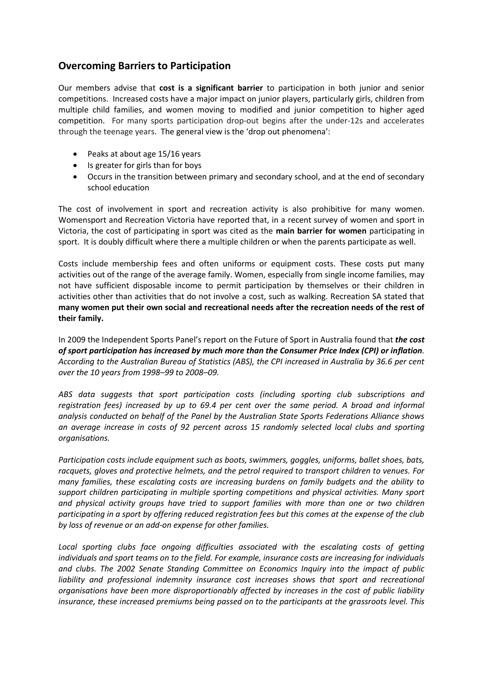## **Overcoming Barriers to Participation**

Our members advise that **cost is a significant barrier** to participation in both junior and senior competitions. Increased costs have a major impact on junior players, particularly girls, children from multiple child families, and women moving to modified and junior competition to higher aged competition. For many sports participation drop-out begins after the under-12s and accelerates through the teenage years. The general view is the 'drop out phenomena':

- Peaks at about age 15/16 years
- Is greater for girls than for boys
- Occurs in the transition between primary and secondary school, and at the end of secondary school education

The cost of involvement in sport and recreation activity is also prohibitive for many women. Womensport and Recreation Victoria have reported that, in a recent survey of women and sport in Victoria, the cost of participating in sport was cited as the **main barrier for women** participating in sport. It is doubly difficult where there a multiple children or when the parents participate as well.

Costs include membership fees and often uniforms or equipment costs. These costs put many activities out of the range of the average family. Women, especially from single income families, may not have sufficient disposable income to permit participation by themselves or their children in activities other than activities that do not involve a cost, such as walking. Recreation SA stated that **many women put their own social and recreational needs after the recreation needs of the rest of their family.**

In 2009 the Independent Sports Panel's report on the Future of Sport in Australia found that *the cost of sport participation has increased by much more than the Consumer Price Index (CPI) or inflation. According to the Australian Bureau of Statistics (ABS), the CPI increased in Australia by 36.6 per cent over the 10 years from 1998–99 to 2008–09.*

*ABS data suggests that sport participation costs (including sporting club subscriptions and registration fees) increased by up to 69.4 per cent over the same period. A broad and informal analysis conducted on behalf of the Panel by the Australian State Sports Federations Alliance shows an average increase in costs of 92 percent across 15 randomly selected local clubs and sporting organisations.*

*Participation costs include equipment such as boots, swimmers, goggles, uniforms, ballet shoes, bats, racquets, gloves and protective helmets, and the petrol required to transport children to venues. For many families, these escalating costs are increasing burdens on family budgets and the ability to support children participating in multiple sporting competitions and physical activities. Many sport and physical activity groups have tried to support families with more than one or two children participating in a sport by offering reduced registration fees but this comes at the expense of the club by loss of revenue or an add-on expense for other families.*

Local sporting clubs face ongoing difficulties associated with the escalating costs of getting *individuals and sport teams on to the field. For example, insurance costs are increasing for individuals and clubs. The 2002 Senate Standing Committee on Economics Inquiry into the impact of public*  liability and professional indemnity insurance cost increases shows that sport and recreational *organisations have been more disproportionably affected by increases in the cost of public liability insurance, these increased premiums being passed on to the participants at the grassroots level. This*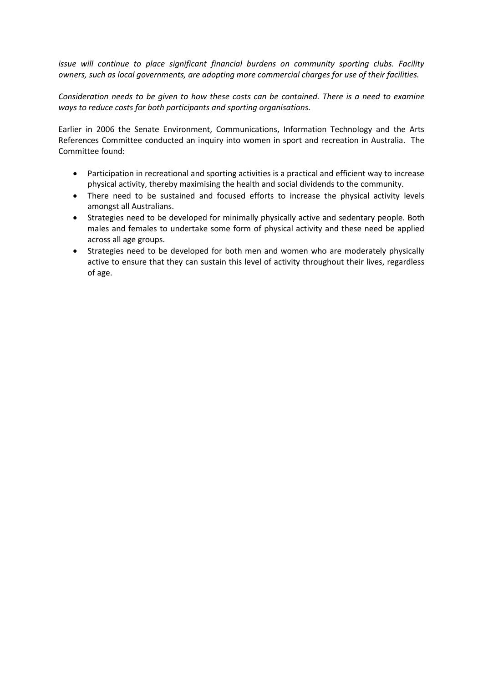*issue will continue to place significant financial burdens on community sporting clubs. Facility owners, such as local governments, are adopting more commercial charges for use of their facilities.*

*Consideration needs to be given to how these costs can be contained. There is a need to examine ways to reduce costs for both participants and sporting organisations.*

Earlier in 2006 the Senate Environment, Communications, Information Technology and the Arts References Committee conducted an inquiry into women in sport and recreation in Australia. The Committee found:

- Participation in recreational and sporting activities is a practical and efficient way to increase physical activity, thereby maximising the health and social dividends to the community.
- There need to be sustained and focused efforts to increase the physical activity levels amongst all Australians.
- Strategies need to be developed for minimally physically active and sedentary people. Both males and females to undertake some form of physical activity and these need be applied across all age groups.
- Strategies need to be developed for both men and women who are moderately physically active to ensure that they can sustain this level of activity throughout their lives, regardless of age.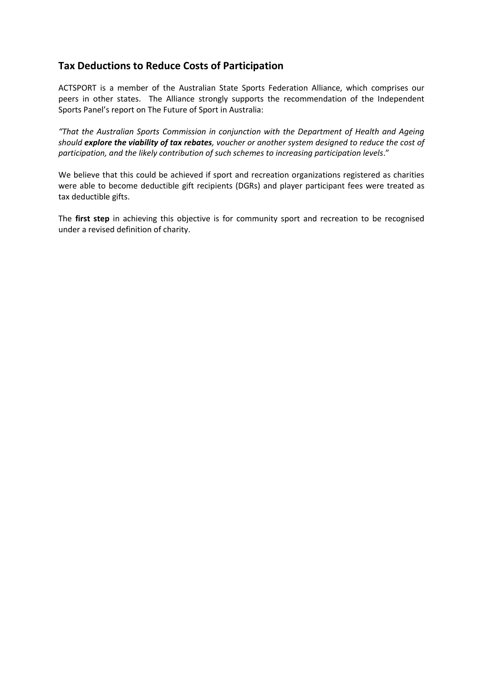## **Tax Deductions to Reduce Costs of Participation**

ACTSPORT is a member of the Australian State Sports Federation Alliance, which comprises our peers in other states. The Alliance strongly supports the recommendation of the Independent Sports Panel's report on The Future of Sport in Australia:

*"That the Australian Sports Commission in conjunction with the Department of Health and Ageing should explore the viability of tax rebates, voucher or another system designed to reduce the cost of participation, and the likely contribution of such schemes to increasing participation levels*."

We believe that this could be achieved if sport and recreation organizations registered as charities were able to become deductible gift recipients (DGRs) and player participant fees were treated as tax deductible gifts.

The **first step** in achieving this objective is for community sport and recreation to be recognised under a revised definition of charity.